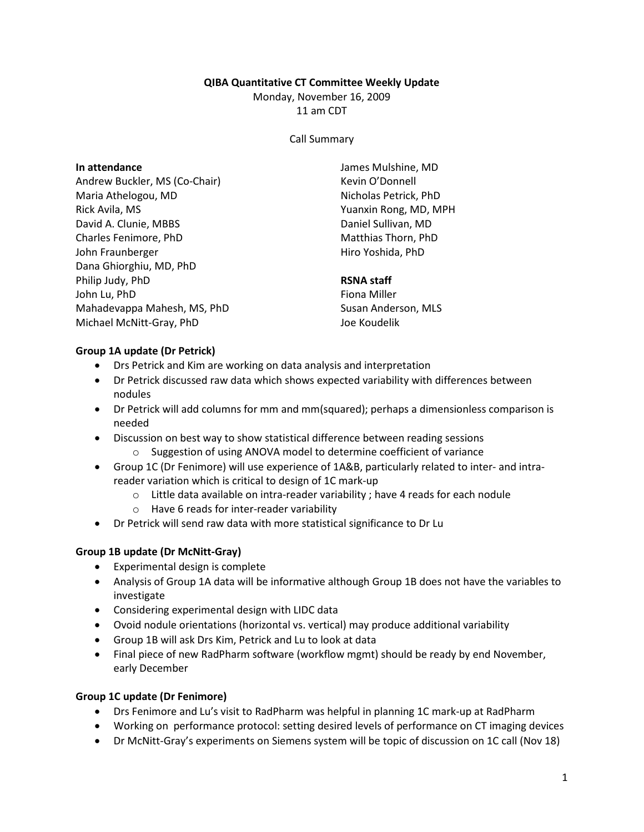### QIBA Quantitative CT Committee Weekly Update

Monday, November 16, 2009

11 am CDT

#### Call Summary

## In attendance

Andrew Buckler, MS (Co-Chair) Maria Athelogou, MD Rick Avila, MS David A. Clunie, MBBS Charles Fenimore, PhD John Fraunberger Dana Ghiorghiu, MD, PhD Philip Judy, PhD John Lu, PhD Mahadevappa Mahesh, MS, PhD Michael McNitt-Gray, PhD

James Mulshine, MD Kevin O'Donnell Nicholas Petrick, PhD Yuanxin Rong, MD, MPH Daniel Sullivan, MD Matthias Thorn, PhD Hiro Yoshida, PhD

# RSNA staff

Fiona Miller Susan Anderson, MLS Joe Koudelik

### Group 1A update (Dr Petrick)

- Drs Petrick and Kim are working on data analysis and interpretation
- Dr Petrick discussed raw data which shows expected variability with differences between nodules
- Dr Petrick will add columns for mm and mm(squared); perhaps a dimensionless comparison is needed
- Discussion on best way to show statistical difference between reading sessions
	- o Suggestion of using ANOVA model to determine coefficient of variance
- Group 1C (Dr Fenimore) will use experience of 1A&B, particularly related to inter- and intrareader variation which is critical to design of 1C mark-up
	- o Little data available on intra-reader variability ; have 4 reads for each nodule
	- o Have 6 reads for inter-reader variability
- Dr Petrick will send raw data with more statistical significance to Dr Lu

### Group 1B update (Dr McNitt-Gray)

- Experimental design is complete
- Analysis of Group 1A data will be informative although Group 1B does not have the variables to investigate
- Considering experimental design with LIDC data
- Ovoid nodule orientations (horizontal vs. vertical) may produce additional variability
- Group 1B will ask Drs Kim, Petrick and Lu to look at data
- Final piece of new RadPharm software (workflow mgmt) should be ready by end November, early December

# Group 1C update (Dr Fenimore)

- Drs Fenimore and Lu's visit to RadPharm was helpful in planning 1C mark-up at RadPharm
- Working on performance protocol: setting desired levels of performance on CT imaging devices
- Dr McNitt-Gray's experiments on Siemens system will be topic of discussion on 1C call (Nov 18)